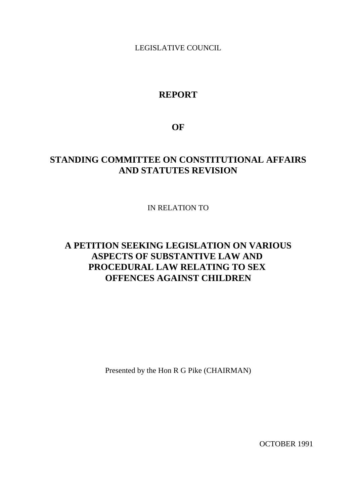LEGISLATIVE COUNCIL

## **REPORT**

**OF**

## **STANDING COMMITTEE ON CONSTITUTIONAL AFFAIRS AND STATUTES REVISION**

IN RELATION TO

# **A PETITION SEEKING LEGISLATION ON VARIOUS ASPECTS OF SUBSTANTIVE LAW AND PROCEDURAL LAW RELATING TO SEX OFFENCES AGAINST CHILDREN**

Presented by the Hon R G Pike (CHAIRMAN)

OCTOBER 1991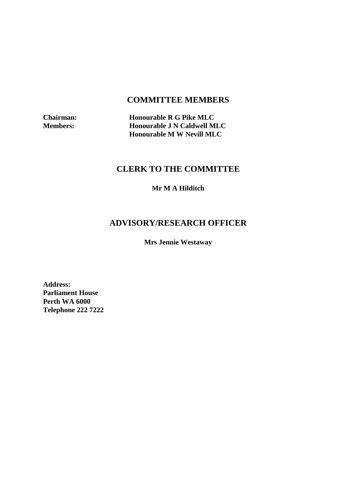## **COMMITTEE MEMBERS**

**Chairman:** Honourable R G Pike MLC<br>Members: Honourable J N Caldwell M **Honourable J N Caldwell MLC Honourable M W Nevill MLC**

## **CLERK TO THE COMMITTEE**

**Mr M A Hilditch**

# **ADVISORY/RESEARCH OFFICER**

**Mrs Jennie Westaway**

**Address: Parliament House Perth WA 6000 Telephone 222 7222**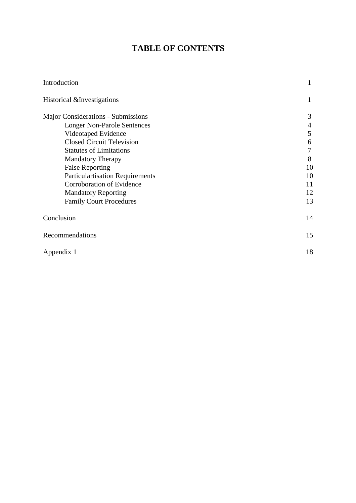## **TABLE OF CONTENTS**

| Introduction                           | 1  |
|----------------------------------------|----|
| Historical & Investigations            | 1  |
| Major Considerations - Submissions     | 3  |
| <b>Longer Non-Parole Sentences</b>     | 4  |
| Videotaped Evidence                    | 5  |
| <b>Closed Circuit Television</b>       | 6  |
| <b>Statutes of Limitations</b>         | 7  |
| <b>Mandatory Therapy</b>               | 8  |
| <b>False Reporting</b>                 | 10 |
| <b>Particulartisation Requirements</b> | 10 |
| Corroboration of Evidence              | 11 |
| <b>Mandatory Reporting</b>             | 12 |
| <b>Family Court Procedures</b>         | 13 |
| Conclusion                             | 14 |
| Recommendations                        | 15 |
| Appendix 1                             | 18 |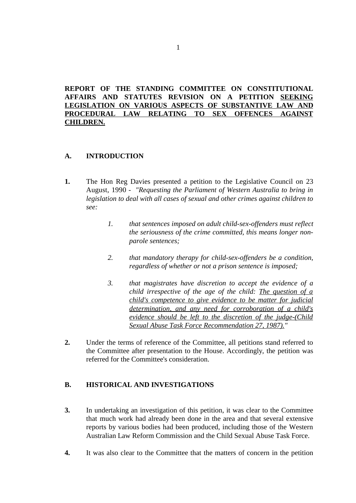## **REPORT OF THE STANDING COMMITTEE ON CONSTITUTIONAL AFFAIRS AND STATUTES REVISION ON A PETITION SEEKING LEGISLATION ON VARIOUS ASPECTS OF SUBSTANTIVE LAW AND PROCEDURAL LAW RELATING TO SEX OFFENCES AGAINST CHILDREN.**

### **A. INTRODUCTION**

- **1.** The Hon Reg Davies presented a petition to the Legislative Council on 23 August, 1990 - *"Requesting the Parliament of Western Australia to bring in legislation to deal with all cases of sexual and other crimes against children to see:*
	- *1. that sentences imposed on adult child-sex-offenders must reflect the seriousness of the crime committed, this means longer nonparole sentences;*
	- *2. that mandatory therapy for child-sex-offenders be a condition, regardless of whether or not a prison sentence is imposed;*
	- *3. that magistrates have discretion to accept the evidence of a child irrespective of the age of the child: The question of a child's competence to give evidence to be matter for judicial determination, and any need for corroboration of a child's evidence should be left to the discretion of the judge-(Child Sexual Abuse Task Force Recommendation 27, 1987)."*
- **2.** Under the terms of reference of the Committee, all petitions stand referred to the Committee after presentation to the House. Accordingly, the petition was referred for the Committee's consideration.

### **B. HISTORICAL AND INVESTIGATIONS**

- **3.** In undertaking an investigation of this petition, it was clear to the Committee that much work had already been done in the area and that several extensive reports by various bodies had been produced, including those of the Western Australian Law Reform Commission and the Child Sexual Abuse Task Force.
- **4.** It was also clear to the Committee that the matters of concern in the petition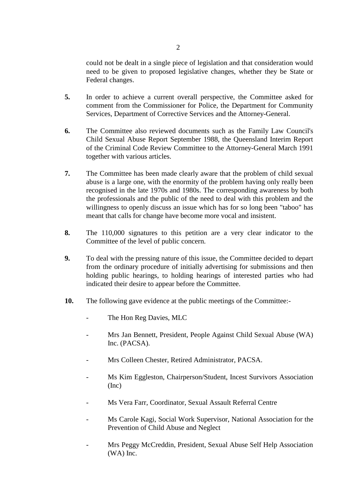could not be dealt in a single piece of legislation and that consideration would need to be given to proposed legislative changes, whether they be State or Federal changes.

- **5.** In order to achieve a current overall perspective, the Committee asked for comment from the Commissioner for Police, the Department for Community Services, Department of Corrective Services and the Attorney-General.
- **6.** The Committee also reviewed documents such as the Family Law Council's Child Sexual Abuse Report September 1988, the Queensland Interim Report of the Criminal Code Review Committee to the Attorney-General March 1991 together with various articles.
- **7.** The Committee has been made clearly aware that the problem of child sexual abuse is a large one, with the enormity of the problem having only really been recognised in the late 1970s and 1980s. The corresponding awareness by both the professionals and the public of the need to deal with this problem and the willingness to openly discuss an issue which has for so long been "taboo" has meant that calls for change have become more vocal and insistent.
- **8.** The 110,000 signatures to this petition are a very clear indicator to the Committee of the level of public concern.
- **9.** To deal with the pressing nature of this issue, the Committee decided to depart from the ordinary procedure of initially advertising for submissions and then holding public hearings, to holding hearings of interested parties who had indicated their desire to appear before the Committee.
- **10.** The following gave evidence at the public meetings of the Committee:-
	- The Hon Reg Davies, MLC
	- Mrs Jan Bennett, President, People Against Child Sexual Abuse (WA) Inc. (PACSA).
	- Mrs Colleen Chester, Retired Administrator, PACSA.
	- Ms Kim Eggleston, Chairperson/Student, Incest Survivors Association (Inc)
	- Ms Vera Farr, Coordinator, Sexual Assault Referral Centre
	- Ms Carole Kagi, Social Work Supervisor, National Association for the Prevention of Child Abuse and Neglect
	- Mrs Peggy McCreddin, President, Sexual Abuse Self Help Association (WA) Inc.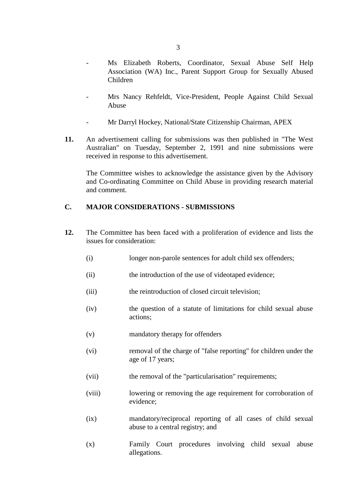- Ms Elizabeth Roberts, Coordinator, Sexual Abuse Self Help Association (WA) Inc., Parent Support Group for Sexually Abused Children
- Mrs Nancy Rehfeldt, Vice-President, People Against Child Sexual Abuse
- Mr Darryl Hockey, National/State Citizenship Chairman, APEX
- **11.** An advertisement calling for submissions was then published in "The West Australian" on Tuesday, September 2, 1991 and nine submissions were received in response to this advertisement.

The Committee wishes to acknowledge the assistance given by the Advisory and Co-ordinating Committee on Child Abuse in providing research material and comment.

### **C. MAJOR CONSIDERATIONS - SUBMISSIONS**

- **12.** The Committee has been faced with a proliferation of evidence and lists the issues for consideration:
	- (i) longer non-parole sentences for adult child sex offenders;
	- (ii) the introduction of the use of videotaped evidence;
	- (iii) the reintroduction of closed circuit television:
	- (iv) the question of a statute of limitations for child sexual abuse actions;
	- (v) mandatory therapy for offenders
	- (vi) removal of the charge of "false reporting" for children under the age of 17 years;
	- (vii) the removal of the "particularisation" requirements;
	- (viii) lowering or removing the age requirement for corroboration of evidence;
	- (ix) mandatory/reciprocal reporting of all cases of child sexual abuse to a central registry; and
	- (x) Family Court procedures involving child sexual abuse allegations.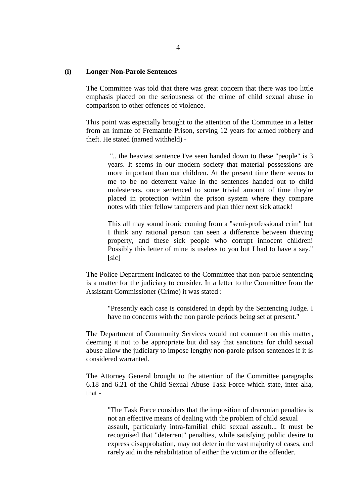#### **(i) Longer Non-Parole Sentences**

The Committee was told that there was great concern that there was too little emphasis placed on the seriousness of the crime of child sexual abuse in comparison to other offences of violence.

This point was especially brought to the attention of the Committee in a letter from an inmate of Fremantle Prison, serving 12 years for armed robbery and theft. He stated (named withheld) -

 ".. the heaviest sentence I've seen handed down to these "people" is 3 years. It seems in our modern society that material possessions are more important than our children. At the present time there seems to me to be no deterrent value in the sentences handed out to child molesterers, once sentenced to some trivial amount of time they're placed in protection within the prison system where they compare notes with thier fellow tamperers and plan thier next sick attack!

This all may sound ironic coming from a "semi-professional crim" but I think any rational person can seen a difference between thieving property, and these sick people who corrupt innocent children! Possibly this letter of mine is useless to you but I had to have a say." [sic]

The Police Department indicated to the Committee that non-parole sentencing is a matter for the judiciary to consider. In a letter to the Committee from the Assistant Commissioner (Crime) it was stated :

"Presently each case is considered in depth by the Sentencing Judge. I have no concerns with the non parole periods being set at present."

The Department of Community Services would not comment on this matter, deeming it not to be appropriate but did say that sanctions for child sexual abuse allow the judiciary to impose lengthy non-parole prison sentences if it is considered warranted.

The Attorney General brought to the attention of the Committee paragraphs 6.18 and 6.21 of the Child Sexual Abuse Task Force which state, inter alia, that -

"The Task Force considers that the imposition of draconian penalties is not an effective means of dealing with the problem of child sexual assault, particularly intra-familial child sexual assault... It must be recognised that "deterrent" penalties, while satisfying public desire to express disapprobation, may not deter in the vast majority of cases, and rarely aid in the rehabilitation of either the victim or the offender.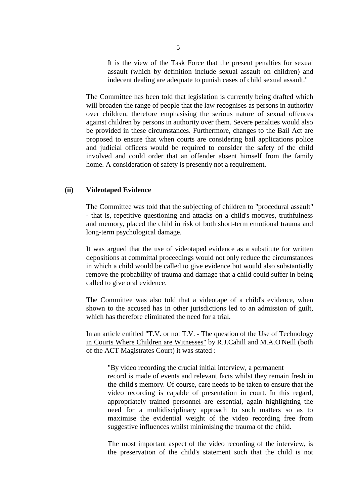It is the view of the Task Force that the present penalties for sexual assault (which by definition include sexual assault on children) and indecent dealing are adequate to punish cases of child sexual assault."

The Committee has been told that legislation is currently being drafted which will broaden the range of people that the law recognises as persons in authority over children, therefore emphasising the serious nature of sexual offences against children by persons in authority over them. Severe penalties would also be provided in these circumstances. Furthermore, changes to the Bail Act are proposed to ensure that when courts are considering bail applications police and judicial officers would be required to consider the safety of the child involved and could order that an offender absent himself from the family home. A consideration of safety is presently not a requirement.

#### **(ii) Videotaped Evidence**

The Committee was told that the subjecting of children to "procedural assault" - that is, repetitive questioning and attacks on a child's motives, truthfulness and memory, placed the child in risk of both short-term emotional trauma and long-term psychological damage.

It was argued that the use of videotaped evidence as a substitute for written depositions at committal proceedings would not only reduce the circumstances in which a child would be called to give evidence but would also substantially remove the probability of trauma and damage that a child could suffer in being called to give oral evidence.

The Committee was also told that a videotape of a child's evidence, when shown to the accused has in other jurisdictions led to an admission of guilt, which has therefore eliminated the need for a trial.

In an article entitled "T.V. or not T.V. - The question of the Use of Technology in Courts Where Children are Witnesses" by R.J.Cahill and M.A.O'Neill (both of the ACT Magistrates Court) it was stated :

"By video recording the crucial initial interview, a permanent record is made of events and relevant facts whilst they remain fresh in the child's memory. Of course, care needs to be taken to ensure that the video recording is capable of presentation in court. In this regard, appropriately trained personnel are essential, again highlighting the need for a multidisciplinary approach to such matters so as to maximise the evidential weight of the video recording free from suggestive influences whilst minimising the trauma of the child.

The most important aspect of the video recording of the interview, is the preservation of the child's statement such that the child is not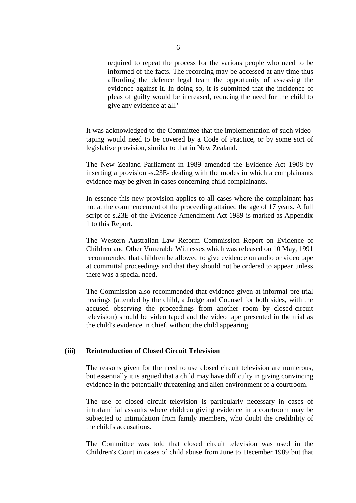required to repeat the process for the various people who need to be informed of the facts. The recording may be accessed at any time thus affording the defence legal team the opportunity of assessing the evidence against it. In doing so, it is submitted that the incidence of pleas of guilty would be increased, reducing the need for the child to give any evidence at all."

It was acknowledged to the Committee that the implementation of such videotaping would need to be covered by a Code of Practice, or by some sort of legislative provision, similar to that in New Zealand.

The New Zealand Parliament in 1989 amended the Evidence Act 1908 by inserting a provision -s.23E- dealing with the modes in which a complainants evidence may be given in cases concerning child complainants.

In essence this new provision applies to all cases where the complainant has not at the commencement of the proceeding attained the age of 17 years. A full script of s.23E of the Evidence Amendment Act 1989 is marked as Appendix 1 to this Report.

The Western Australian Law Reform Commission Report on Evidence of Children and Other Vunerable Witnesses which was released on 10 May, 1991 recommended that children be allowed to give evidence on audio or video tape at committal proceedings and that they should not be ordered to appear unless there was a special need.

The Commission also recommended that evidence given at informal pre-trial hearings (attended by the child, a Judge and Counsel for both sides, with the accused observing the proceedings from another room by closed-circuit television) should be video taped and the video tape presented in the trial as the child's evidence in chief, without the child appearing.

#### **(iii) Reintroduction of Closed Circuit Television**

The reasons given for the need to use closed circuit television are numerous, but essentially it is argued that a child may have difficulty in giving convincing evidence in the potentially threatening and alien environment of a courtroom.

The use of closed circuit television is particularly necessary in cases of intrafamilial assaults where children giving evidence in a courtroom may be subjected to intimidation from family members, who doubt the credibility of the child's accusations.

The Committee was told that closed circuit television was used in the Children's Court in cases of child abuse from June to December 1989 but that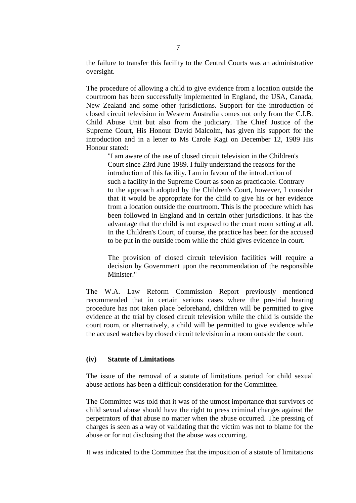the failure to transfer this facility to the Central Courts was an administrative oversight.

The procedure of allowing a child to give evidence from a location outside the courtroom has been successfully implemented in England, the USA, Canada, New Zealand and some other jurisdictions. Support for the introduction of closed circuit television in Western Australia comes not only from the C.I.B. Child Abuse Unit but also from the judiciary. The Chief Justice of the Supreme Court, His Honour David Malcolm, has given his support for the introduction and in a letter to Ms Carole Kagi on December 12, 1989 His Honour stated:

"I am aware of the use of closed circuit television in the Children's Court since 23rd June 1989. I fully understand the reasons for the introduction of this facility. I am in favour of the introduction of such a facility in the Supreme Court as soon as practicable. Contrary to the approach adopted by the Children's Court, however, I consider that it would be appropriate for the child to give his or her evidence from a location outside the courtroom. This is the procedure which has been followed in England and in certain other jurisdictions. It has the advantage that the child is not exposed to the court room setting at all. In the Children's Court, of course, the practice has been for the accused to be put in the outside room while the child gives evidence in court.

The provision of closed circuit television facilities will require a decision by Government upon the recommendation of the responsible Minister."

The W.A. Law Reform Commission Report previously mentioned recommended that in certain serious cases where the pre-trial hearing procedure has not taken place beforehand, children will be permitted to give evidence at the trial by closed circuit television while the child is outside the court room, or alternatively, a child will be permitted to give evidence while the accused watches by closed circuit television in a room outside the court.

#### **(iv) Statute of Limitations**

The issue of the removal of a statute of limitations period for child sexual abuse actions has been a difficult consideration for the Committee.

The Committee was told that it was of the utmost importance that survivors of child sexual abuse should have the right to press criminal charges against the perpetrators of that abuse no matter when the abuse occurred. The pressing of charges is seen as a way of validating that the victim was not to blame for the abuse or for not disclosing that the abuse was occurring.

It was indicated to the Committee that the imposition of a statute of limitations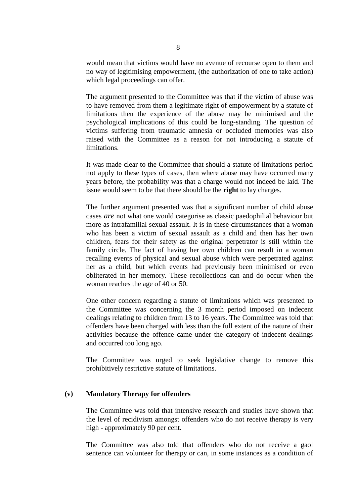would mean that victims would have no avenue of recourse open to them and no way of legitimising empowerment, (the authorization of one to take action) which legal proceedings can offer.

The argument presented to the Committee was that if the victim of abuse was to have removed from them a legitimate right of empowerment by a statute of limitations then the experience of the abuse may be minimised and the psychological implications of this could be long-standing. The question of victims suffering from traumatic amnesia or occluded memories was also raised with the Committee as a reason for not introducing a statute of limitations.

It was made clear to the Committee that should a statute of limitations period not apply to these types of cases, then where abuse may have occurred many years before, the probability was that a charge would not indeed be laid. The issue would seem to be that there should be the **right** to lay charges.

The further argument presented was that a significant number of child abuse cases *are* not what one would categorise as classic paedophilial behaviour but more as intrafamilial sexual assault. It is in these circumstances that a woman who has been a victim of sexual assault as a child and then has her own children, fears for their safety as the original perpetrator is still within the family circle. The fact of having her own children can result in a woman recalling events of physical and sexual abuse which were perpetrated against her as a child, but which events had previously been minimised or even obliterated in her memory. These recollections can and do occur when the woman reaches the age of 40 or 50.

One other concern regarding a statute of limitations which was presented to the Committee was concerning the 3 month period imposed on indecent dealings relating to children from 13 to 16 years. The Committee was told that offenders have been charged with less than the full extent of the nature of their activities because the offence came under the category of indecent dealings and occurred too long ago.

The Committee was urged to seek legislative change to remove this prohibitively restrictive statute of limitations.

#### **(v) Mandatory Therapy for offenders**

The Committee was told that intensive research and studies have shown that the level of recidivism amongst offenders who do not receive therapy is very high - approximately 90 per cent.

The Committee was also told that offenders who do not receive a gaol sentence can volunteer for therapy or can, in some instances as a condition of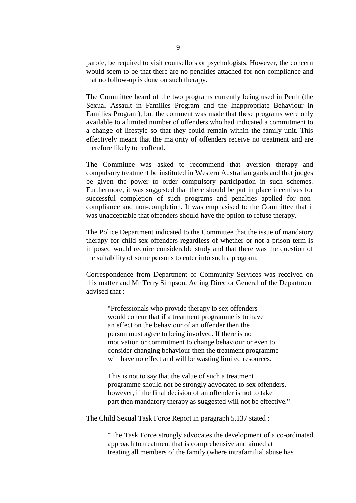parole, be required to visit counsellors or psychologists. However, the concern would seem to be that there are no penalties attached for non-compliance and that no follow-up is done on such therapy.

The Committee heard of the two programs currently being used in Perth (the Sexual Assault in Families Program and the Inappropriate Behaviour in Families Program), but the comment was made that these programs were only available to a limited number of offenders who had indicated a commitment to a change of lifestyle so that they could remain within the family unit. This effectively meant that the majority of offenders receive no treatment and are therefore likely to reoffend.

The Committee was asked to recommend that aversion therapy and compulsory treatment be instituted in Western Australian gaols and that judges be given the power to order compulsory participation in such schemes. Furthermore, it was suggested that there should be put in place incentives for successful completion of such programs and penalties applied for noncompliance and non-completion. It was emphasised to the Committee that it was unacceptable that offenders should have the option to refuse therapy.

The Police Department indicated to the Committee that the issue of mandatory therapy for child sex offenders regardless of whether or not a prison term is imposed would require considerable study and that there was the question of the suitability of some persons to enter into such a program.

Correspondence from Department of Community Services was received on this matter and Mr Terry Simpson, Acting Director General of the Department advised that :

"Professionals who provide therapy to sex offenders would concur that if a treatment programme is to have an effect on the behaviour of an offender then the person must agree to being involved. If there is no motivation or commitment to change behaviour or even to consider changing behaviour then the treatment programme will have no effect and will be wasting limited resources.

This is not to say that the value of such a treatment programme should not be strongly advocated to sex offenders, however, if the final decision of an offender is not to take part then mandatory therapy as suggested will not be effective."

The Child Sexual Task Force Report in paragraph 5.137 stated :

"The Task Force strongly advocates the development of a co-ordinated approach to treatment that is comprehensive and aimed at treating all members of the family (where intrafamilial abuse has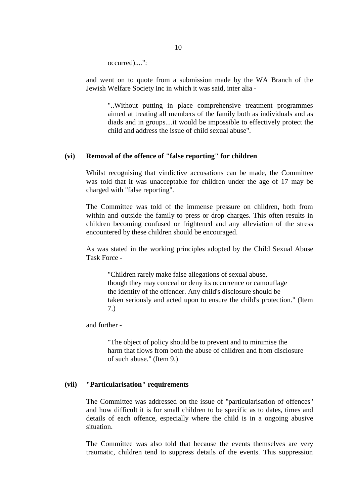occurred)....":

and went on to quote from a submission made by the WA Branch of the Jewish Welfare Society Inc in which it was said, inter alia -

"..Without putting in place comprehensive treatment programmes aimed at treating all members of the family both as individuals and as diads and in groups....it would be impossible to effectively protect the child and address the issue of child sexual abuse".

#### **(vi) Removal of the offence of "false reporting" for children**

Whilst recognising that vindictive accusations can be made, the Committee was told that it was unacceptable for children under the age of 17 may be charged with "false reporting".

The Committee was told of the immense pressure on children, both from within and outside the family to press or drop charges. This often results in children becoming confused or frightened and any alleviation of the stress encountered by these children should be encouraged.

As was stated in the working principles adopted by the Child Sexual Abuse Task Force -

"Children rarely make false allegations of sexual abuse, though they may conceal or deny its occurrence or camouflage the identity of the offender. Any child's disclosure should be taken seriously and acted upon to ensure the child's protection." (Item 7.)

and further -

"The object of policy should be to prevent and to minimise the harm that flows from both the abuse of children and from disclosure of such abuse." (Item 9.)

### **(vii) "Particularisation" requirements**

The Committee was addressed on the issue of "particularisation of offences" and how difficult it is for small children to be specific as to dates, times and details of each offence, especially where the child is in a ongoing abusive situation.

The Committee was also told that because the events themselves are very traumatic, children tend to suppress details of the events. This suppression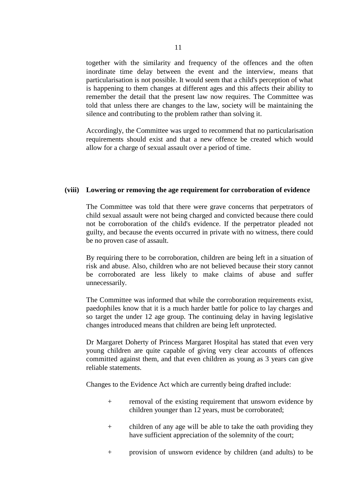together with the similarity and frequency of the offences and the often inordinate time delay between the event and the interview, means that particularisation is not possible. It would seem that a child's perception of what is happening to them changes at different ages and this affects their ability to remember the detail that the present law now requires. The Committee was told that unless there are changes to the law, society will be maintaining the silence and contributing to the problem rather than solving it.

Accordingly, the Committee was urged to recommend that no particularisation requirements should exist and that a new offence be created which would allow for a charge of sexual assault over a period of time.

#### **(viii) Lowering or removing the age requirement for corroboration of evidence**

The Committee was told that there were grave concerns that perpetrators of child sexual assault were not being charged and convicted because there could not be corroboration of the child's evidence. If the perpetrator pleaded not guilty, and because the events occurred in private with no witness, there could be no proven case of assault.

By requiring there to be corroboration, children are being left in a situation of risk and abuse. Also, children who are not believed because their story cannot be corroborated are less likely to make claims of abuse and suffer unnecessarily.

The Committee was informed that while the corroboration requirements exist, paedophiles know that it is a much harder battle for police to lay charges and so target the under 12 age group. The continuing delay in having legislative changes introduced means that children are being left unprotected.

Dr Margaret Doherty of Princess Margaret Hospital has stated that even very young children are quite capable of giving very clear accounts of offences committed against them, and that even children as young as 3 years can give reliable statements.

Changes to the Evidence Act which are currently being drafted include:

- + removal of the existing requirement that unsworn evidence by children younger than 12 years, must be corroborated;
- + children of any age will be able to take the oath providing they have sufficient appreciation of the solemnity of the court;
- + provision of unsworn evidence by children (and adults) to be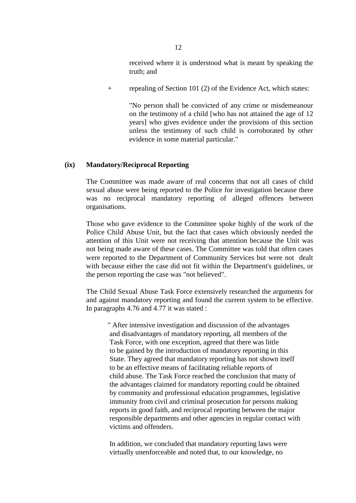received where it is understood what is meant by speaking the truth; and

+ repealing of Section 101 (2) of the Evidence Act, which states:

"No person shall be convicted of any crime or misdemeanour on the testimony of a child [who has not attained the age of 12 years] who gives evidence under the provisions of this section unless the testimony of such child is corroborated by other evidence in some material particular."

#### **(ix) Mandatory/Reciprocal Reporting**

The Committee was made aware of real concerns that not all cases of child sexual abuse were being reported to the Police for investigation because there was no reciprocal mandatory reporting of alleged offences between organisations.

Those who gave evidence to the Committee spoke highly of the work of the Police Child Abuse Unit, but the fact that cases which obviously needed the attention of this Unit were not receiving that attention because the Unit was not being made aware of these cases. The Committee was told that often cases were reported to the Department of Community Services but were not dealt with because either the case did not fit within the Department's guidelines, or the person reporting the case was "not believed".

The Child Sexual Abuse Task Force extensively researched the arguments for and against mandatory reporting and found the current system to be effective. In paragraphs 4.76 and 4.77 it was stated :

" After intensive investigation and discussion of the advantages and disadvantages of mandatory reporting, all members of the Task Force, with one exception, agreed that there was little to be gained by the introduction of mandatory reporting in this State. They agreed that mandatory reporting has not shown itself to be an effective means of facilitating reliable reports of child abuse. The Task Force reached the conclusion that many of the advantages claimed for mandatory reporting could be obtained by community and professional education programmes, legislative immunity from civil and criminal prosecution for persons making reports in good faith, and reciprocal reporting between the major responsible departments and other agencies in regular contact with victims and offenders.

 In addition, we concluded that mandatory reporting laws were virtually unenforceable and noted that, to our knowledge, no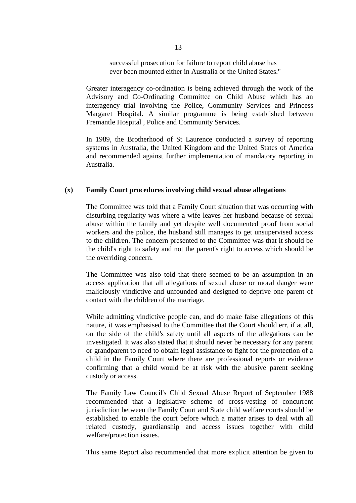successful prosecution for failure to report child abuse has ever been mounted either in Australia or the United States."

Greater interagency co-ordination is being achieved through the work of the Advisory and Co-Ordinating Committee on Child Abuse which has an interagency trial involving the Police, Community Services and Princess Margaret Hospital. A similar programme is being established between Fremantle Hospital , Police and Community Services.

In 1989, the Brotherhood of St Laurence conducted a survey of reporting systems in Australia, the United Kingdom and the United States of America and recommended against further implementation of mandatory reporting in Australia.

#### **(x) Family Court procedures involving child sexual abuse allegations**

The Committee was told that a Family Court situation that was occurring with disturbing regularity was where a wife leaves her husband because of sexual abuse within the family and yet despite well documented proof from social workers and the police, the husband still manages to get unsupervised access to the children. The concern presented to the Committee was that it should be the child's right to safety and not the parent's right to access which should be the overriding concern.

The Committee was also told that there seemed to be an assumption in an access application that all allegations of sexual abuse or moral danger were maliciously vindictive and unfounded and designed to deprive one parent of contact with the children of the marriage.

While admitting vindictive people can, and do make false allegations of this nature, it was emphasised to the Committee that the Court should err, if at all, on the side of the child's safety until all aspects of the allegations can be investigated. It was also stated that it should never be necessary for any parent or grandparent to need to obtain legal assistance to fight for the protection of a child in the Family Court where there are professional reports or evidence confirming that a child would be at risk with the abusive parent seeking custody or access.

The Family Law Council's Child Sexual Abuse Report of September 1988 recommended that a legislative scheme of cross-vesting of concurrent jurisdiction between the Family Court and State child welfare courts should be established to enable the court before which a matter arises to deal with all related custody, guardianship and access issues together with child welfare/protection issues.

This same Report also recommended that more explicit attention be given to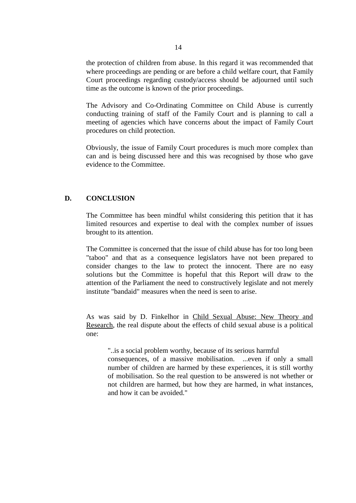the protection of children from abuse. In this regard it was recommended that where proceedings are pending or are before a child welfare court, that Family Court proceedings regarding custody/access should be adjourned until such time as the outcome is known of the prior proceedings.

The Advisory and Co-Ordinating Committee on Child Abuse is currently conducting training of staff of the Family Court and is planning to call a meeting of agencies which have concerns about the impact of Family Court procedures on child protection.

Obviously, the issue of Family Court procedures is much more complex than can and is being discussed here and this was recognised by those who gave evidence to the Committee.

#### **D. CONCLUSION**

The Committee has been mindful whilst considering this petition that it has limited resources and expertise to deal with the complex number of issues brought to its attention.

The Committee is concerned that the issue of child abuse has for too long been "taboo" and that as a consequence legislators have not been prepared to consider changes to the law to protect the innocent. There are no easy solutions but the Committee is hopeful that this Report will draw to the attention of the Parliament the need to constructively legislate and not merely institute "bandaid" measures when the need is seen to arise.

As was said by D. Finkelhor in Child Sexual Abuse: New Theory and Research, the real dispute about the effects of child sexual abuse is a political one:

"..is a social problem worthy, because of its serious harmful consequences, of a massive mobilisation. ...even if only a small number of children are harmed by these experiences, it is still worthy of mobilisation. So the real question to be answered is not whether or not children are harmed, but how they are harmed, in what instances, and how it can be avoided."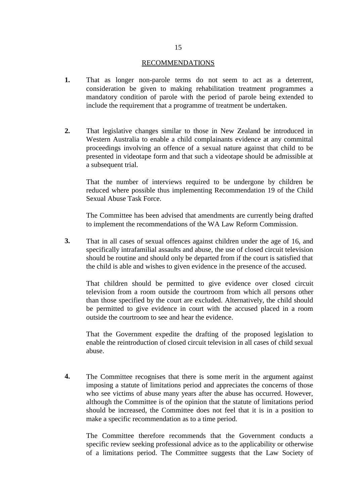#### RECOMMENDATIONS

- **1.** That as longer non-parole terms do not seem to act as a deterrent, consideration be given to making rehabilitation treatment programmes a mandatory condition of parole with the period of parole being extended to include the requirement that a programme of treatment be undertaken.
- **2.** That legislative changes similar to those in New Zealand be introduced in Western Australia to enable a child complainants evidence at any committal proceedings involving an offence of a sexual nature against that child to be presented in videotape form and that such a videotape should be admissible at a subsequent trial.

That the number of interviews required to be undergone by children be reduced where possible thus implementing Recommendation 19 of the Child Sexual Abuse Task Force.

The Committee has been advised that amendments are currently being drafted to implement the recommendations of the WA Law Reform Commission.

**3.** That in all cases of sexual offences against children under the age of 16, and specifically intrafamilial assaults and abuse, the use of closed circuit television should be routine and should only be departed from if the court is satisfied that the child is able and wishes to given evidence in the presence of the accused.

That children should be permitted to give evidence over closed circuit television from a room outside the courtroom from which all persons other than those specified by the court are excluded. Alternatively, the child should be permitted to give evidence in court with the accused placed in a room outside the courtroom to see and hear the evidence.

That the Government expedite the drafting of the proposed legislation to enable the reintroduction of closed circuit television in all cases of child sexual abuse.

**4.** The Committee recognises that there is some merit in the argument against imposing a statute of limitations period and appreciates the concerns of those who see victims of abuse many years after the abuse has occurred. However, although the Committee is of the opinion that the statute of limitations period should be increased, the Committee does not feel that it is in a position to make a specific recommendation as to a time period.

The Committee therefore recommends that the Government conducts a specific review seeking professional advice as to the applicability or otherwise of a limitations period. The Committee suggests that the Law Society of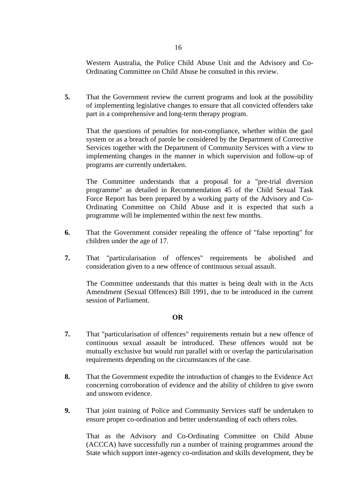Western Australia, the Police Child Abuse Unit and the Advisory and Co-Ordinating Committee on Child Abuse be consulted in this review.

**5.** That the Government review the current programs and look at the possibility of implementing legislative changes to ensure that all convicted offenders take part in a comprehensive and long-term therapy program.

That the questions of penalties for non-compliance, whether within the gaol system or as a breach of parole be considered by the Department of Corrective Services together with the Department of Community Services with a view to implementing changes in the manner in which supervision and follow-up of programs are currently undertaken.

The Committee understands that a proposal for a "pre-trial diversion programme" as detailed in Recommendation 45 of the Child Sexual Task Force Report has been prepared by a working party of the Advisory and Co-Ordinating Committee on Child Abuse and it is expected that such a programme will be implemented within the next few months.

- **6.** That the Government consider repealing the offence of "false reporting" for children under the age of 17.
- **7.** That "particularisation of offences" requirements be abolished and consideration given to a new offence of continuous sexual assault.

The Committee understands that this matter is being dealt with in the Acts Amendment (Sexual Offences) Bill 1991, due to be introduced in the current session of Parliament.

#### **OR**

- **7.** That "particularisation of offences" requirements remain but a new offence of continuous sexual assault be introduced. These offences would not be mutually exclusive but would run parallel with or overlap the particularisation requirements depending on the circumstances of the case.
- **8.** That the Government expedite the introduction of changes to the Evidence Act concerning corroboration of evidence and the ability of children to give sworn and unsworn evidence.
- **9.** That joint training of Police and Community Services staff be undertaken to ensure proper co-ordination and better understanding of each others roles.

That as the Advisory and Co-Ordinating Committee on Child Abuse (ACCCA) have successfully run a number of training programmes around the State which support inter-agency co-ordination and skills development, they be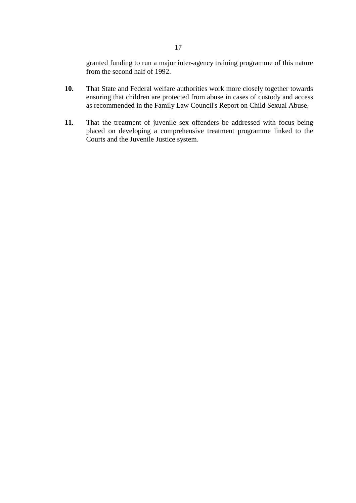granted funding to run a major inter-agency training programme of this nature from the second half of 1992.

- **10.** That State and Federal welfare authorities work more closely together towards ensuring that children are protected from abuse in cases of custody and access as recommended in the Family Law Council's Report on Child Sexual Abuse.
- **11.** That the treatment of juvenile sex offenders be addressed with focus being placed on developing a comprehensive treatment programme linked to the Courts and the Juvenile Justice system.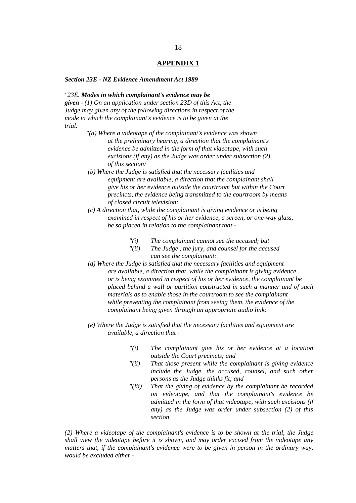#### **APPENDIX 1**

#### *Section 23E - NZ Evidence Amendment Act 1989*

#### *"23E. Modes in which complainant's evidence may be*

*given - (1) On an application under section 23D of this Act, the Judge may given any of the following directions in respect of the mode in which the complainant's evidence is to be given at the trial:*

- *"(a) Where a videotape of the complainant's evidence was shown at the preliminary hearing, a direction that the complainant's evidence be admitted in the form of that videotape, with such excisions (if any) as the Judge was order under subsection (2) of this section:*
- *(b) Where the Judge is satisfied that the necessary facilities and equipment are available, a direction that the complainant shall give his or her evidence outside the courtroom but within the Court precincts, the evidence being transmitted to the courtroom by means of closed circuit television:*
- *(c) A direction that, while the complainant is giving evidence or is being examined in respect of his or her evidence, a screen, or one-way glass, be so placed in relation to the complainant that -*
	- *"(i) The complainant cannot see the accused; but*
	- *"(ii) The Judge , the jury, and counsel for the accused can see the complainant:*
- *(d) Where the Judge is satisfied that the necessary facilities and equipment are available, a direction that, while the complainant is giving evidence or is being examined in respect of his or her evidence, the complainant be placed behind a wall or partition constructed in such a manner and of such materials as to enable those in the courtroom to see the complainant while preventing the complainant from seeing them, the evidence of the complainant being given through an appropriate audio link:*
- *(e) Where the Judge is satisfied that the necessary facilities and equipment are available, a direction that -*
	- *"(i) The complainant give his or her evidence at a location outside the Court precincts; and*
	- *"(ii) That those present while the complainant is giving evidence include the Judge, the accused, counsel, and such other persons as the Judge thinks fit; and*
	- *"(iii) That the giving of evidence by the complainant be recorded on videotape, and that the complainant's evidence be admitted in the form of that videotape, with such excisions (if any) as the Judge was order under subsection (2) of this section.*

*(2) Where a videotape of the complainant's evidence is to be shown at the trial, the Judge shall view the videotape before it is shown, and may order excised from the videotape any matters that, if the complainant's evidence were to be given in person in the ordinary way, would be excluded either -*